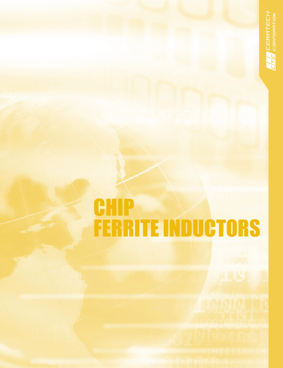# **CHIP** FERRITE INDUCTORS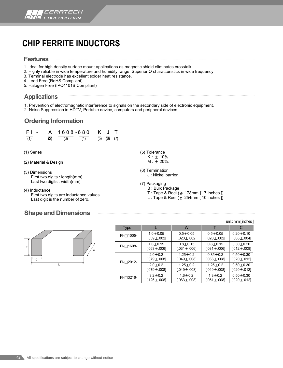

### **CHIP FERRITE INDUCTORS**

#### **Features**

- 1. Ideal for high density surface mount applications as magnetic shield eliminates crosstalk.
- 2. Highly reliable in wide temperature and humidity range. Superior Q characteristics in wide frequency.
- 3. Terminal electrode has excellent solder heat resistance.
- 4. Lead Free (RoHS Compliant)
- 5. Halogen Free (IPC4101B Compliant)

#### **Applications**

- 1. Prevention of electromagnetic interference to signals on the secondary side of electronic equipment.
- 2. Noise Suppression in HDTV, Portable device, computers and peripheral devices.

. . . . . . . . .

#### **Ordering Information**



- (1) Series
- (2) Material & Design
- (3) Dimensions First two digits : length(mm) Last two digits : width(mm)
- (4) Inductance First two digits are inductance values. Last digit is the number of zero.

#### **Shape and Dimensions**



|  |                     |                                   | UIII.IIIIIIIIIIIIIII00001           |                                     |                                      |  |  |
|--|---------------------|-----------------------------------|-------------------------------------|-------------------------------------|--------------------------------------|--|--|
|  | <b>Type</b>         |                                   | W                                   |                                     | C                                    |  |  |
|  | $FI$ - $\Box$ 1005- | $1.0 + 0.05$<br>$[.039 \pm .002]$ | $0.5 + 0.05$<br>$[.020 \pm .002]$   | $0.5 + 0.05$<br>$[.020 \pm .002]$   | $0.20 \pm 0.10$<br>$[.008 \pm .004]$ |  |  |
|  | FI-□1608-           | $1.6 + 0.15$<br>$[.063 \pm .006]$ | $0.8 + 0.15$<br>$[.031 \pm .006]$   | $0.8 + 0.15$<br>$[.031 \pm .006]$   | $0.30 + 0.20$<br>$[.012 \pm .008]$   |  |  |
|  | $FI$ - $\Box$ 2012- | $2.0 + 0.2$<br>$[.079 \pm .008]$  | $1.25 + 0.2$<br>$[.049 \pm .008]$   | $0.85 + 0.2$<br>$[.033 \pm .008]$   | $0.50 + 0.30$<br>$[.020 \pm .012]$   |  |  |
|  |                     | $2.0 + 0.2$<br>$[.079 \pm .008]$  | $1.25 \pm 0.2$<br>$[.049 \pm .008]$ | $1.25 \pm 0.2$<br>$[.049 \pm .008]$ | $0.50 + 0.30$<br>$[.020 \pm .012]$   |  |  |
|  | $FI$ - $\Box$ 3216- | $3.2 + 0.2$<br>[.126 $\pm$ .008]  | $1.6 + 0.2$<br>$.063 \pm .0081$     | $1.3 \pm 0.2$<br>$.051 \pm .008$ ]  | $0.50 \pm 0.30$<br>$[.020 \pm .012]$ |  |  |

#### (5) Tolerance  $K : \pm 10\%$  $M : \pm 20\%$ .

(6) Termination J : Nickel barrier

(7) Packaging

B : Bulk Package

- T : Tape & Reel ( $\varnothing$  178mm [ 7 inches ])
- L : Tape & Reel ( $\varnothing$  254mm [ 10 inches ])

unit : mm [ inches ]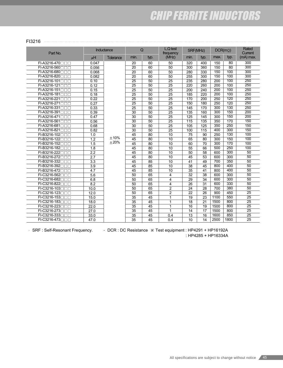## CHIP FERRITE INDUCTORS

#### FI3216

| Part No.                      | Inductance       |           | $\Omega$        |                 | L.Q test<br>frequency | SRF(MHz)         |                  | DCR(m <sub>Ω</sub> ) |                  | Rated<br>Current |
|-------------------------------|------------------|-----------|-----------------|-----------------|-----------------------|------------------|------------------|----------------------|------------------|------------------|
|                               | $\mu$ H          | Tolerance | min.            | typ.            | (MHz)                 | min.             | typ.             | max.                 | typ.             | $(mA)$ max.      |
| FI-A3216-470□□□               | 0.047            |           | 20              | 60              | 50                    | 320              | 400              | 150                  | 80               | 300              |
| $FI-A3216-560$                | 0.056            |           | 20              | 60              | 50                    | $\overline{300}$ | 360              | 150                  | $\overline{80}$  | $\overline{300}$ |
| FI-A3216-680□□□               | 0.068            |           | $\overline{20}$ | 60              | 50                    | 280              | 330              | 150                  | 100              | 300              |
| FI-A3216-820                  | 0.082            |           | $\overline{20}$ | 60              | 50                    | 255              | 300              | 150                  | 100              | 300              |
| $FI-A3216-101$                | 0.10             |           | $\overline{25}$ | $\overline{50}$ | $\overline{25}$       | 235              | 280              | $\overline{200}$     | 100              | 250              |
| FI-A3216-121□□□               | 0.12             |           | $\overline{25}$ | 50              | 25                    | 220              | 260              | $\overline{200}$     | 100              | 250              |
| $FI-A3216-151$                | 0.15             |           | $\overline{25}$ | $\overline{50}$ | $\overline{25}$       | $\overline{200}$ | $\overline{240}$ | 200                  | 100              | 250              |
| FI-A3216-181□□□               | 0.18             |           | $\overline{25}$ | 50              | $\overline{25}$       | 185              | 220              | $\overline{200}$     | 100              | 250              |
| $FI-A3216-221$                | 0.22             |           | 25              | $\overline{50}$ | 25                    | 170              | $\overline{200}$ | 250                  | $\overline{120}$ | 250              |
| FI-A3216-271□□□               | 0.27             |           | $\overline{25}$ | 50              | $\overline{25}$       | 150              | 180              | 250                  | 120              | 250              |
| FI-A3216-331□□□               | 0.33             |           | $\overline{25}$ | $\overline{50}$ | $\overline{25}$       | 145              | 170              | $\overline{300}$     | 130              | 250              |
| FI-A3216-391□□□               | 0.39             |           | $\overline{30}$ | $\overline{50}$ | $\overline{25}$       | 135              | 160              | $\overline{300}$     | 150              | $\overline{200}$ |
| FI-A3216-471                  | 0.47             |           | $\overline{30}$ | 50              | $\overline{25}$       | $\overline{125}$ | $\overline{145}$ | 300                  | 150              | 200              |
| FI-A3216-561□□□               | 0.56             |           | 30              | $\overline{50}$ | $\overline{25}$       | 115              | 135              | 350                  | 170              | 150              |
| $FI-A3216-681$                | 0.68             |           | $\overline{30}$ | $\overline{50}$ | $\overline{25}$       | 105              | 125              | 350                  | 250              | 150              |
| FI-A3216-821□□□               | 0.82             |           | 30              | 50              | $\overline{25}$       | 100              | 115              | 400                  | 300              | 150              |
| $FI-B3216-102$                | 1.0              |           | 45              | 80              | 10                    | $\overline{75}$  | 90               | 250                  | 130              | 100              |
| FI-B3216-122□□□               | 1.2              | $+10%$    | 45              | 80              | 10                    | 65               | 80               | $\overline{300}$     | 150              | 100              |
| FI-B3216-152□□□               | 1.5              | ±20%      | $\overline{45}$ | 80              | 10                    | 60               | 70               | $\overline{300}$     | 170              | 100              |
| FI-B3216-182                  | 1.8              |           | 45              | 80              | 10                    | 55               | 66               | 500                  | 250              | 100              |
| FI-B3216-222000               | $\overline{2.2}$ |           | $\overline{45}$ | 80              | 10                    | $\overline{50}$  | $\overline{58}$  | 600                  | $\overline{300}$ | $\overline{50}$  |
| FI-B3216-272                  | 2.7              |           | 45              | 80              | 10                    | 45               | 53               | 600                  | $\overline{300}$ | 50               |
| FI-B3216-332                  | 3.3              |           | 45              | 85              | 10                    | 41               | 49               | $\overline{700}$     | 350              | 50               |
| FI-B3216-392 <sub>[1]</sub>   | 3.9              |           | 45              | 85              | $\overline{10}$       | 38               | 45               | 800                  | 400              | $\overline{50}$  |
| FI-B3216-472000               | 4.7              |           | 45              | 85              | 10                    | 35               | 41               | 800                  | 400              | 50               |
| FI-C3216-562□□□               | 5.6              |           | 50              | 65              | 4                     | 32               | $\overline{38}$  | 600                  | 300              | 50               |
| FI-C3216-682□□□               | 6.8              |           | 50              | 65              | 4                     | 29               | 34               | 600                  | 300              | 50               |
| FI-C3216-822                  | 8.2              |           | $\overline{50}$ | $\overline{65}$ | 4                     | $\overline{26}$  | $\overline{31}$  | 600                  | 330              | $\overline{50}$  |
| FI-C3216-103□□□               | 10.0             |           | $\overline{50}$ | 65              | $\overline{2}$        | $\overline{24}$  | 28               | 700                  | 380              | 50               |
| FI-C3216-123                  | 12.0             |           | $\overline{50}$ | 65              | $\overline{2}$        | 22               | $\overline{26}$  | 900                  | 450              | 25               |
| FI-C3216-153□□□               | 15.0             |           | $\overline{35}$ | $\overline{45}$ | $\mathbf{1}$          | $\overline{19}$  | $\overline{23}$  | 1100                 | 550              | $\overline{25}$  |
| $FI$ -C3216-183 $\Box$ $\Box$ | 18.0             |           | 35              | 45              | $\mathbf{1}$          | 18               | 21               | 1500                 | 800              | $\overline{25}$  |
| FI-C3216-223□□□               | 22.0             |           | 35              | 45              | 1                     | 16               | 19               | 1500                 | 800              | $\overline{25}$  |
| FI-C3216-273□□□               | 27.0             |           | 35              | 45              | 1                     | 14               | 17               | 1500                 | 800              | $\overline{25}$  |
| FI-C3216-333□□□               | 33.0             |           | 35              | 45              | 0.4                   | 13               | 16               | 1600                 | 850              | $\overline{25}$  |
| FI-C3216-473□□□               | 47.0             |           | 35              | 45              | 0.4                   | 10               | 14               | 2500                 | 1800             | 25               |

SRF : Self-Resonant Frequency. DCR : DC Resistance  $%$  Test equipment : HP4291 + HP16192A : HP4285 + HP16334A